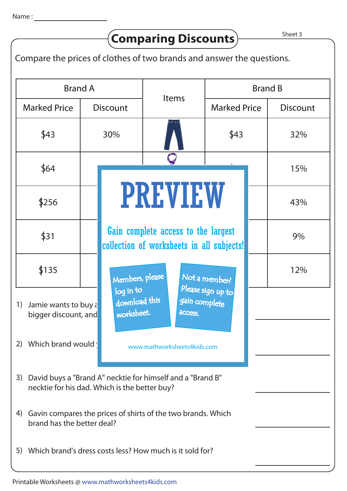Sheet 3 Discount 1 Marked Price Discount  $$43$ S256  $$31$ \$135 S64 30% Gain complete access to the largest 23% 11% S43 S59 S268  $\frac{1}{2}$ S143 32% 15% 43% 9% 12% Items 1) Jamie wants to buy  $\epsilon$ bigger discount, and 2) Which brand would  $\sqrt{ }$ 3) David buys a "Brand A" necktie for himself and a "Brand B" necktie for his dad. Which is the better buy? 4) Gavin compares the prices of shirts of the two brands. Which brand has the better deal? 5) Which brand's dress costs less? How much is it sold for? Brand A Brand B Compare the prices of clothes of two brands and answer the questions. **Comparing Discounts** Marked Price PREVIEW www.mathworksheets4kids.com Members, please download this worksheet. log in to Not a member? gain complete Please sign up to **access** collection of worksheets in all subjects!